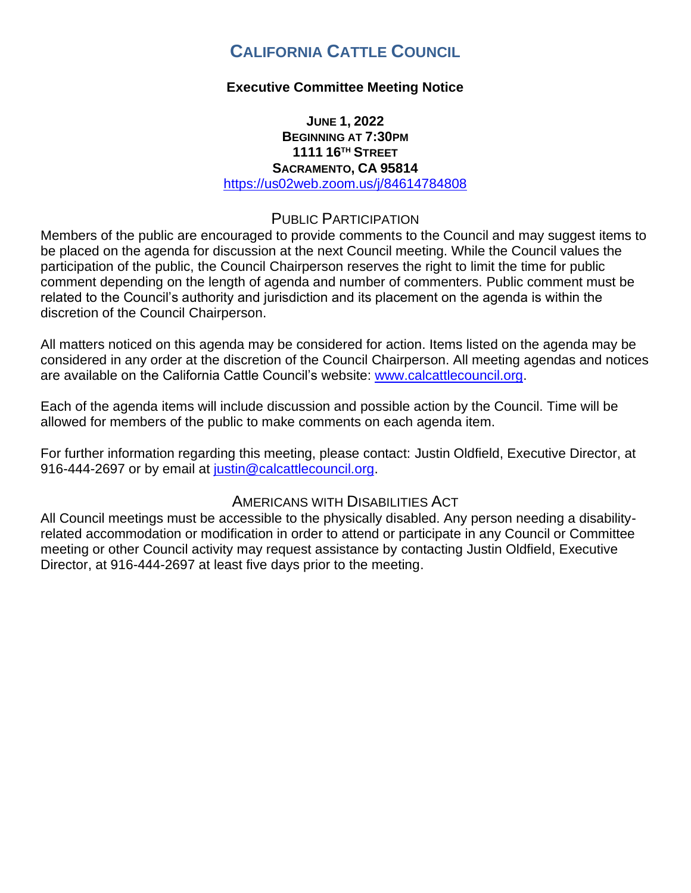# **CALIFORNIA CATTLE COUNCIL**

# **Executive Committee Meeting Notice**

### **JUNE 1, 2022 BEGINNING AT 7:30PM 1111 16TH STREET SACRAMENTO, CA 95814** <https://us02web.zoom.us/j/84614784808>

# PUBLIC PARTICIPATION

Members of the public are encouraged to provide comments to the Council and may suggest items to be placed on the agenda for discussion at the next Council meeting. While the Council values the participation of the public, the Council Chairperson reserves the right to limit the time for public comment depending on the length of agenda and number of commenters. Public comment must be related to the Council's authority and jurisdiction and its placement on the agenda is within the discretion of the Council Chairperson.

All matters noticed on this agenda may be considered for action. Items listed on the agenda may be considered in any order at the discretion of the Council Chairperson. All meeting agendas and notices are available on the California Cattle Council's website: [www.calcattlecouncil.org.](http://www.calcattlecouncil.org/)

Each of the agenda items will include discussion and possible action by the Council. Time will be allowed for members of the public to make comments on each agenda item.

For further information regarding this meeting, please contact: Justin Oldfield, Executive Director, at 916-444-2697 or by email at [justin@calcattlecouncil.org.](mailto:justin@calcattlecouncil.org)

# AMERICANS WITH DISABILITIES ACT

All Council meetings must be accessible to the physically disabled. Any person needing a disabilityrelated accommodation or modification in order to attend or participate in any Council or Committee meeting or other Council activity may request assistance by contacting Justin Oldfield, Executive Director, at 916-444-2697 at least five days prior to the meeting.